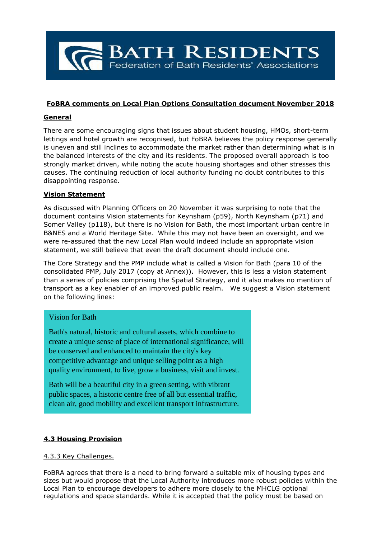

#### **FoBRA comments on Local Plan Options Consultation document November 2018**

#### **General**

There are some encouraging signs that issues about student housing, HMOs, short-term lettings and hotel growth are recognised, but FoBRA believes the policy response generally is uneven and still inclines to accommodate the market rather than determining what is in the balanced interests of the city and its residents. The proposed overall approach is too strongly market driven, while noting the acute housing shortages and other stresses this causes. The continuing reduction of local authority funding no doubt contributes to this disappointing response.

#### **Vision Statement**

As discussed with Planning Officers on 20 November it was surprising to note that the document contains Vision statements for Keynsham (p59), North Keynsham (p71) and Somer Valley (p118), but there is no Vision for Bath, the most important urban centre in B&NES and a World Heritage Site. While this may not have been an oversight, and we were re-assured that the new Local Plan would indeed include an appropriate vision statement, we still believe that even the draft document should include one.

The Core Strategy and the PMP include what is called a Vision for Bath (para 10 of the consolidated PMP, July 2017 (copy at Annex)). However, this is less a vision statement than a series of policies comprising the Spatial Strategy, and it also makes no mention of transport as a key enabler of an improved public realm. We suggest a Vision statement on the following lines:

## Vision for Bath

Bath's natural, historic and cultural assets, which combine to create a unique sense of place of international significance, will be conserved and enhanced to maintain the city's key competitive advantage and unique selling point as a high quality environment, to live, grow a business, visit and invest.

Bath will be a beautiful city in a green setting, with vibrant public spaces, a historic centre free of all but essential traffic, clean air, good mobility and excellent transport infrastructure.

## **4.3 Housing Provision**

#### 4.3.3 Key Challenges.

FoBRA agrees that there is a need to bring forward a suitable mix of housing types and sizes but would propose that the Local Authority introduces more robust policies within the Local Plan to encourage developers to adhere more closely to the MHCLG optional regulations and space standards. While it is accepted that the policy must be based on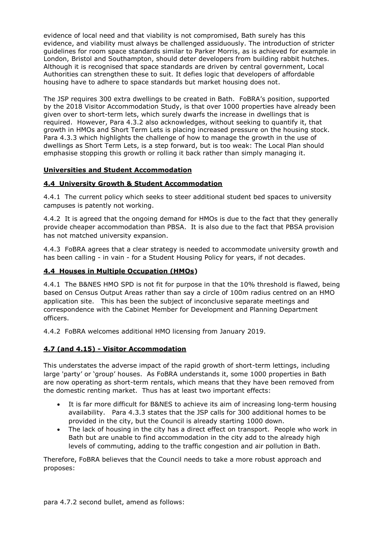evidence of local need and that viability is not compromised, Bath surely has this evidence, and viability must always be challenged assiduously. The introduction of stricter guidelines for room space standards similar to Parker Morris, as is achieved for example in London, Bristol and Southampton, should deter developers from building rabbit hutches. Although it is recognised that space standards are driven by central government, Local Authorities can strengthen these to suit. It defies logic that developers of affordable housing have to adhere to space standards but market housing does not.

The JSP requires 300 extra dwellings to be created in Bath. FoBRA's position, supported by the 2018 Visitor Accommodation Study, is that over 1000 properties have already been given over to short-term lets, which surely dwarfs the increase in dwellings that is required. However, Para 4.3.2 also acknowledges, without seeking to quantify it, that growth in HMOs and Short Term Lets is placing increased pressure on the housing stock. Para 4.3.3 which highlights the challenge of how to manage the growth in the use of dwellings as Short Term Lets, is a step forward, but is too weak: The Local Plan should emphasise stopping this growth or rolling it back rather than simply managing it.

## **Universities and Student Accommodation**

## **4.4 University Growth & Student Accommodation**

4.4.1 The current policy which seeks to steer additional student bed spaces to university campuses is patently not working.

4.4.2 It is agreed that the ongoing demand for HMOs is due to the fact that they generally provide cheaper accommodation than PBSA. It is also due to the fact that PBSA provision has not matched university expansion.

4.4.3 FoBRA agrees that a clear strategy is needed to accommodate university growth and has been calling - in vain - for a Student Housing Policy for years, if not decades.

## **4.4 Houses in Multiple Occupation (HMOs)**

4.4.1 The B&NES HMO SPD is not fit for purpose in that the 10% threshold is flawed, being based on Census Output Areas rather than say a circle of 100m radius centred on an HMO application site. This has been the subject of inconclusive separate meetings and correspondence with the Cabinet Member for Development and Planning Department officers.

4.4.2 FoBRA welcomes additional HMO licensing from January 2019.

## **4.7 (and 4.15) - Visitor Accommodation**

This understates the adverse impact of the rapid growth of short-term lettings, including large 'party' or 'group' houses. As FoBRA understands it, some 1000 properties in Bath are now operating as short-term rentals, which means that they have been removed from the domestic renting market. Thus has at least two important effects:

- It is far more difficult for B&NES to achieve its aim of increasing long-term housing availability. Para 4.3.3 states that the JSP calls for 300 additional homes to be provided in the city, but the Council is already starting 1000 down.
- The lack of housing in the city has a direct effect on transport. People who work in Bath but are unable to find accommodation in the city add to the already high levels of commuting, adding to the traffic congestion and air pollution in Bath.

Therefore, FoBRA believes that the Council needs to take a more robust approach and proposes: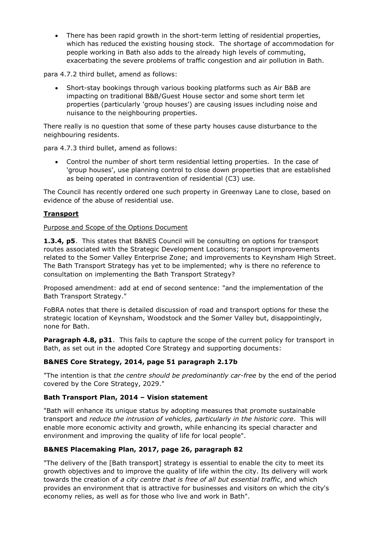• There has been rapid growth in the short-term letting of residential properties, which has reduced the existing housing stock. The shortage of accommodation for people working in Bath also adds to the already high levels of commuting, exacerbating the severe problems of traffic congestion and air pollution in Bath.

para 4.7.2 third bullet, amend as follows:

• Short-stay bookings through various booking platforms such as Air B&B are impacting on traditional B&B/Guest House sector and some short term let properties (particularly 'group houses') are causing issues including noise and nuisance to the neighbouring properties.

There really is no question that some of these party houses cause disturbance to the neighbouring residents.

para 4.7.3 third bullet, amend as follows:

• Control the number of short term residential letting properties. In the case of 'group houses', use planning control to close down properties that are established as being operated in contravention of residential (C3) use.

The Council has recently ordered one such property in Greenway Lane to close, based on evidence of the abuse of residential use.

#### **Transport**

#### Purpose and Scope of the Options Document

**1.3.4, p5**. This states that B&NES Council will be consulting on options for transport routes associated with the Strategic Development Locations; transport improvements related to the Somer Valley Enterprise Zone; and improvements to Keynsham High Street. The Bath Transport Strategy has yet to be implemented; why is there no reference to consultation on implementing the Bath Transport Strategy?

Proposed amendment: add at end of second sentence: "and the implementation of the Bath Transport Strategy."

FoBRA notes that there is detailed discussion of road and transport options for these the strategic location of Keynsham, Woodstock and the Somer Valley but, disappointingly, none for Bath.

**Paragraph 4.8, p31.** This fails to capture the scope of the current policy for transport in Bath, as set out in the adopted Core Strategy and supporting documents:

## **B&NES Core Strategy, 2014, page 51 paragraph 2.17b**

"The intention is that *the centre should be predominantly car-free* by the end of the period covered by the Core Strategy, 2029."

## **Bath Transport Plan, 2014 – Vision statement**

"Bath will enhance its unique status by adopting measures that promote sustainable transport and *reduce the intrusion of vehicles, particularly in the historic core*. This will enable more economic activity and growth, while enhancing its special character and environment and improving the quality of life for local people".

## **B&NES Placemaking Plan, 2017, page 26, paragraph 82**

"The delivery of the [Bath transport] strategy is essential to enable the city to meet its growth objectives and to improve the quality of life within the city. Its delivery will work towards the creation of *a city centre that is free of all but essential traffic*, and which provides an environment that is attractive for businesses and visitors on which the city's economy relies, as well as for those who live and work in Bath".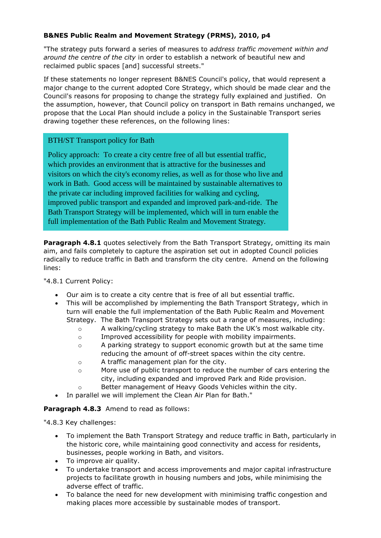# **B&NES Public Realm and Movement Strategy (PRMS), 2010, p4**

"The strategy puts forward a series of measures to *address traffic movement within and around the centre of the city* in order to establish a network of beautiful new and reclaimed public spaces [and] successful streets."

If these statements no longer represent B&NES Council's policy, that would represent a major change to the current adopted Core Strategy, which should be made clear and the Council's reasons for proposing to change the strategy fully explained and justified. On the assumption, however, that Council policy on transport in Bath remains unchanged, we propose that the Local Plan should include a policy in the Sustainable Transport series drawing together these references, on the following lines:

## BTH/ST Transport policy for Bath

Policy approach: To create a city centre free of all but essential traffic, which provides an environment that is attractive for the businesses and visitors on which the city's economy relies, as well as for those who live and work in Bath. Good access will be maintained by sustainable alternatives to the private car including improved facilities for walking and cycling, improved public transport and expanded and improved park-and-ride. The Bath Transport Strategy will be implemented, which will in turn enable the full implementation of the Bath Public Realm and Movement Strategy.

**Paragraph 4.8.1** quotes selectively from the Bath Transport Strategy, omitting its main aim, and fails completely to capture the aspiration set out in adopted Council policies radically to reduce traffic in Bath and transform the city centre. Amend on the following lines:

"4.8.1 Current Policy:

- Our aim is to create a city centre that is free of all but essential traffic.
- This will be accomplished by implementing the Bath Transport Strategy, which in turn will enable the full implementation of the Bath Public Realm and Movement Strategy. The Bath Transport Strategy sets out a range of measures, including:
	- $\circ$  A walking/cycling strategy to make Bath the UK's most walkable city.
	- o Improved accessibility for people with mobility impairments.
	- $\circ$  A parking strategy to support economic growth but at the same time reducing the amount of off-street spaces within the city centre.
	- o A traffic management plan for the city.
	- o More use of public transport to reduce the number of cars entering the city, including expanded and improved Park and Ride provision.
	- o Better management of Heavy Goods Vehicles within the city.
- In parallel we will implement the Clean Air Plan for Bath."

# **Paragraph 4.8.3** Amend to read as follows:

"4.8.3 Key challenges:

- To implement the Bath Transport Strategy and reduce traffic in Bath, particularly in the historic core, while maintaining good connectivity and access for residents, businesses, people working in Bath, and visitors.
- To improve air quality.
- To undertake transport and access improvements and major capital infrastructure projects to facilitate growth in housing numbers and jobs, while minimising the adverse effect of traffic.
- To balance the need for new development with minimising traffic congestion and making places more accessible by sustainable modes of transport.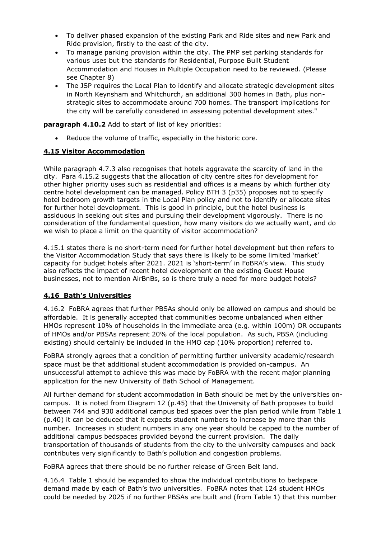- To deliver phased expansion of the existing Park and Ride sites and new Park and Ride provision, firstly to the east of the city.
- To manage parking provision within the city. The PMP set parking standards for various uses but the standards for Residential, Purpose Built Student Accommodation and Houses in Multiple Occupation need to be reviewed. (Please see Chapter 8)
- The JSP requires the Local Plan to identify and allocate strategic development sites in North Keynsham and Whitchurch, an additional 300 homes in Bath, plus nonstrategic sites to accommodate around 700 homes. The transport implications for the city will be carefully considered in assessing potential development sites."

**paragraph 4.10.2** Add to start of list of key priorities:

Reduce the volume of traffic, especially in the historic core.

## **4.15 Visitor Accommodation**

While paragraph 4.7.3 also recognises that hotels aggravate the scarcity of land in the city. Para 4.15.2 suggests that the allocation of city centre sites for development for other higher priority uses such as residential and offices is a means by which further city centre hotel development can be managed. Policy BTH 3 (p35) proposes not to specify hotel bedroom growth targets in the Local Plan policy and not to identify or allocate sites for further hotel development. This is good in principle, but the hotel business is assiduous in seeking out sites and pursuing their development vigorously. There is no consideration of the fundamental question, how many visitors do we actually want, and do we wish to place a limit on the quantity of visitor accommodation?

4.15.1 states there is no short-term need for further hotel development but then refers to the Visitor Accommodation Study that says there is likely to be some limited 'market' capacity for budget hotels after 2021. 2021 is 'short-term' in FoBRA's view. This study also reflects the impact of recent hotel development on the existing Guest House businesses, not to mention AirBnBs, so is there truly a need for more budget hotels?

# **4.16 Bath's Universities**

4.16.2 FoBRA agrees that further PBSAs should only be allowed on campus and should be affordable. It is generally accepted that communities become unbalanced when either HMOs represent 10% of households in the immediate area (e.g. within 100m) OR occupants of HMOs and/or PBSAs represent 20% of the local population. As such, PBSA (including existing) should certainly be included in the HMO cap (10% proportion) referred to.

FoBRA strongly agrees that a condition of permitting further university academic/research space must be that additional student accommodation is provided on-campus. An unsuccessful attempt to achieve this was made by FoBRA with the recent major planning application for the new University of Bath School of Management.

All further demand for student accommodation in Bath should be met by the universities oncampus. It is noted from Diagram 12 (p.45) that the University of Bath proposes to build between 744 and 930 additional campus bed spaces over the plan period while from Table 1 (p.40) it can be deduced that it expects student numbers to increase by more than this number. Increases in student numbers in any one year should be capped to the number of additional campus bedspaces provided beyond the current provision. The daily transportation of thousands of students from the city to the university campuses and back contributes very significantly to Bath's pollution and congestion problems.

FoBRA agrees that there should be no further release of Green Belt land.

4.16.4 Table 1 should be expanded to show the individual contributions to bedspace demand made by each of Bath's two universities. FoBRA notes that 124 student HMOs could be needed by 2025 if no further PBSAs are built and (from Table 1) that this number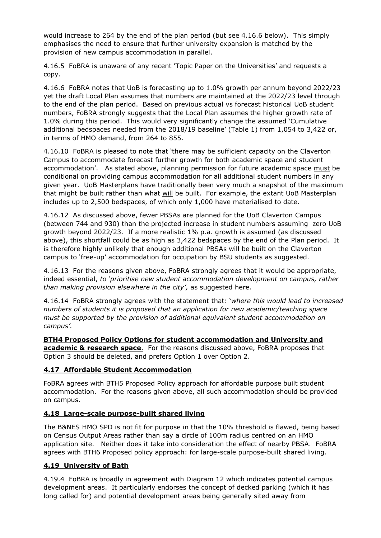would increase to 264 by the end of the plan period (but see 4.16.6 below). This simply emphasises the need to ensure that further university expansion is matched by the provision of new campus accommodation in parallel.

4.16.5 FoBRA is unaware of any recent 'Topic Paper on the Universities' and requests a copy.

4.16.6 FoBRA notes that UoB is forecasting up to 1.0% growth per annum beyond 2022/23 yet the draft Local Plan assumes that numbers are maintained at the 2022/23 level through to the end of the plan period. Based on previous actual vs forecast historical UoB student numbers, FoBRA strongly suggests that the Local Plan assumes the higher growth rate of 1.0% during this period. This would very significantly change the assumed 'Cumulative additional bedspaces needed from the 2018/19 baseline' (Table 1) from 1,054 to 3,422 or, in terms of HMO demand, from 264 to 855.

4.16.10 FoBRA is pleased to note that 'there may be sufficient capacity on the Claverton Campus to accommodate forecast further growth for both academic space and student accommodation'. As stated above, planning permission for future academic space must be conditional on providing campus accommodation for all additional student numbers in any given year. UoB Masterplans have traditionally been very much a snapshot of the maximum that might be built rather than what will be built. For example, the extant UoB Masterplan includes up to 2,500 bedspaces, of which only 1,000 have materialised to date.

4.16.12 As discussed above, fewer PBSAs are planned for the UoB Claverton Campus (between 744 and 930) than the projected increase in student numbers assuming zero UoB growth beyond 2022/23. If a more realistic 1% p.a. growth is assumed (as discussed above), this shortfall could be as high as 3,422 bedspaces by the end of the Plan period. It is therefore highly unlikely that enough additional PBSAs will be built on the Claverton campus to 'free-up' accommodation for occupation by BSU students as suggested.

4.16.13 For the reasons given above, FoBRA strongly agrees that it would be appropriate, indeed essential, *to 'prioritise new student accommodation development on campus, rather than making provision elsewhere in the city',* as suggested here.

4.16.14 FoBRA strongly agrees with the statement that: '*where this would lead to increased numbers of students it is proposed that an application for new academic/teaching space must be supported by the provision of additional equivalent student accommodation on campus'.*

**BTH4 Proposed Policy Options for student accommodation and University and academic & research space**. For the reasons discussed above, FoBRA proposes that Option 3 should be deleted, and prefers Option 1 over Option 2.

## **4.17 Affordable Student Accommodation**

FoBRA agrees with BTH5 Proposed Policy approach for affordable purpose built student accommodation. For the reasons given above, all such accommodation should be provided on campus.

## **4.18 Large-scale purpose-built shared living**

The B&NES HMO SPD is not fit for purpose in that the 10% threshold is flawed, being based on Census Output Areas rather than say a circle of 100m radius centred on an HMO application site. Neither does it take into consideration the effect of nearby PBSA. FoBRA agrees with BTH6 Proposed policy approach: for large-scale purpose-built shared living.

# **4.19 University of Bath**

4.19.4 FoBRA is broadly in agreement with Diagram 12 which indicates potential campus development areas. It particularly endorses the concept of decked parking (which it has long called for) and potential development areas being generally sited away from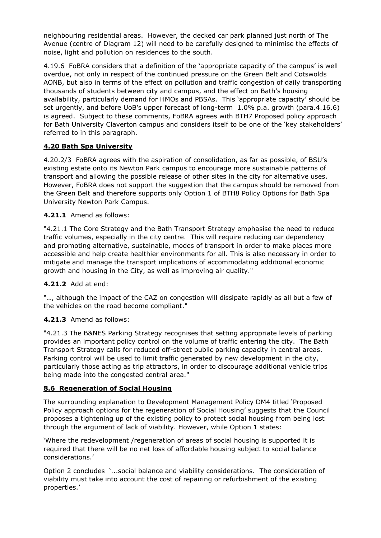neighbouring residential areas. However, the decked car park planned just north of The Avenue (centre of Diagram 12) will need to be carefully designed to minimise the effects of noise, light and pollution on residences to the south.

4.19.6 FoBRA considers that a definition of the 'appropriate capacity of the campus' is well overdue, not only in respect of the continued pressure on the Green Belt and Cotswolds AONB, but also in terms of the effect on pollution and traffic congestion of daily transporting thousands of students between city and campus, and the effect on Bath's housing availability, particularly demand for HMOs and PBSAs. This 'appropriate capacity' should be set urgently, and before UoB's upper forecast of long-term 1.0% p.a. growth (para.4.16.6) is agreed. Subject to these comments, FoBRA agrees with BTH7 Proposed policy approach for Bath University Claverton campus and considers itself to be one of the 'key stakeholders' referred to in this paragraph.

# **4.20 Bath Spa University**

4.20.2/3 FoBRA agrees with the aspiration of consolidation, as far as possible, of BSU's existing estate onto its Newton Park campus to encourage more sustainable patterns of transport and allowing the possible release of other sites in the city for alternative uses. However, FoBRA does not support the suggestion that the campus should be removed from the Green Belt and therefore supports only Option 1 of BTH8 Policy Options for Bath Spa University Newton Park Campus.

# **4.21.1** Amend as follows:

"4.21.1 The Core Strategy and the Bath Transport Strategy emphasise the need to reduce traffic volumes, especially in the city centre. This will require reducing car dependency and promoting alternative, sustainable, modes of transport in order to make places more accessible and help create healthier environments for all. This is also necessary in order to mitigate and manage the transport implications of accommodating additional economic growth and housing in the City, as well as improving air quality."

# **4.21.2** Add at end:

"…, although the impact of the CAZ on congestion will dissipate rapidly as all but a few of the vehicles on the road become compliant."

## **4.21.3** Amend as follows:

"4.21.3 The B&NES Parking Strategy recognises that setting appropriate levels of parking provides an important policy control on the volume of traffic entering the city. The Bath Transport Strategy calls for reduced off-street public parking capacity in central areas. Parking control will be used to limit traffic generated by new development in the city, particularly those acting as trip attractors, in order to discourage additional vehicle trips being made into the congested central area."

## **8.6 Regeneration of Social Housing**

The surrounding explanation to Development Management Policy DM4 titled 'Proposed Policy approach options for the regeneration of Social Housing' suggests that the Council proposes a tightening up of the existing policy to protect social housing from being lost through the argument of lack of viability. However, while Option 1 states:

'Where the redevelopment /regeneration of areas of social housing is supported it is required that there will be no net loss of affordable housing subject to social balance considerations.'

Option 2 concludes '...social balance and viability considerations. The consideration of viability must take into account the cost of repairing or refurbishment of the existing properties.'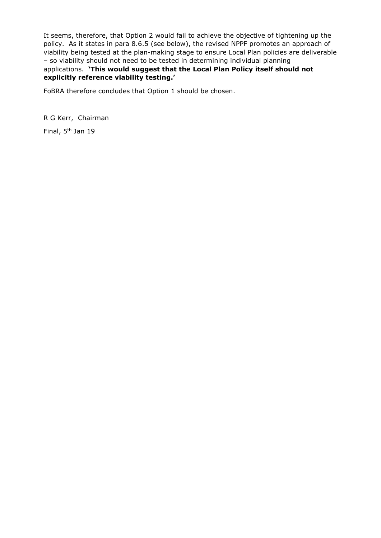It seems, therefore, that Option 2 would fail to achieve the objective of tightening up the policy. As it states in para 8.6.5 (see below), the revised NPPF promotes an approach of viability being tested at the plan-making stage to ensure Local Plan policies are deliverable – so viability should not need to be tested in determining individual planning applications. **'This would suggest that the Local Plan Policy itself should not explicitly reference viability testing.'** 

FoBRA therefore concludes that Option 1 should be chosen.

R G Kerr, Chairman

Final, 5<sup>th</sup> Jan 19